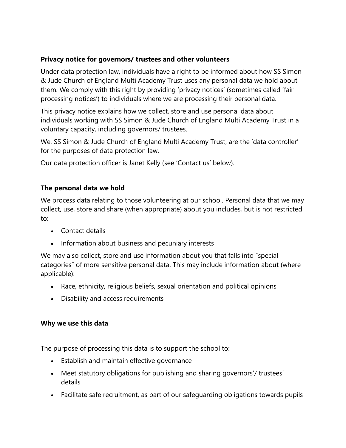# **Privacy notice for governors/ trustees and other volunteers**

Under data protection law, individuals have a right to be informed about how SS Simon & Jude Church of England Multi Academy Trust uses any personal data we hold about them. We comply with this right by providing 'privacy notices' (sometimes called 'fair processing notices') to individuals where we are processing their personal data.

This privacy notice explains how we collect, store and use personal data about individuals working with SS Simon & Jude Church of England Multi Academy Trust in a voluntary capacity, including governors/ trustees.

We, SS Simon & Jude Church of England Multi Academy Trust, are the 'data controller' for the purposes of data protection law.

Our data protection officer is Janet Kelly (see 'Contact us' below).

## **The personal data we hold**

We process data relating to those volunteering at our school. Personal data that we may collect, use, store and share (when appropriate) about you includes, but is not restricted to:

- Contact details
- Information about business and pecuniary interests

We may also collect, store and use information about you that falls into "special categories" of more sensitive personal data. This may include information about (where applicable):

- Race, ethnicity, religious beliefs, sexual orientation and political opinions
- Disability and access requirements

#### **Why we use this data**

The purpose of processing this data is to support the school to:

- Establish and maintain effective governance
- Meet statutory obligations for publishing and sharing governors'/ trustees' details
- Facilitate safe recruitment, as part of our safeguarding obligations towards pupils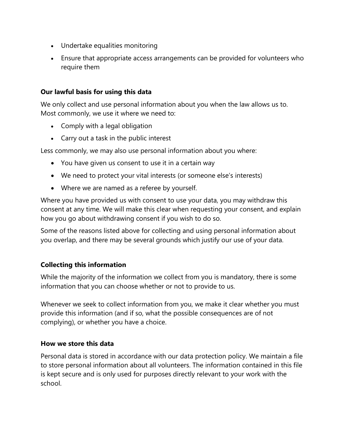- Undertake equalities monitoring
- Ensure that appropriate access arrangements can be provided for volunteers who require them

#### **Our lawful basis for using this data**

We only collect and use personal information about you when the law allows us to. Most commonly, we use it where we need to:

- Comply with a legal obligation
- Carry out a task in the public interest

Less commonly, we may also use personal information about you where:

- You have given us consent to use it in a certain way
- We need to protect your vital interests (or someone else's interests)
- Where we are named as a referee by yourself.

Where you have provided us with consent to use your data, you may withdraw this consent at any time. We will make this clear when requesting your consent, and explain how you go about withdrawing consent if you wish to do so.

Some of the reasons listed above for collecting and using personal information about you overlap, and there may be several grounds which justify our use of your data.

#### **Collecting this information**

While the majority of the information we collect from you is mandatory, there is some information that you can choose whether or not to provide to us.

Whenever we seek to collect information from you, we make it clear whether you must provide this information (and if so, what the possible consequences are of not complying), or whether you have a choice.

#### **How we store this data**

Personal data is stored in accordance with our data protection policy. We maintain a file to store personal information about all volunteers. The information contained in this file is kept secure and is only used for purposes directly relevant to your work with the school.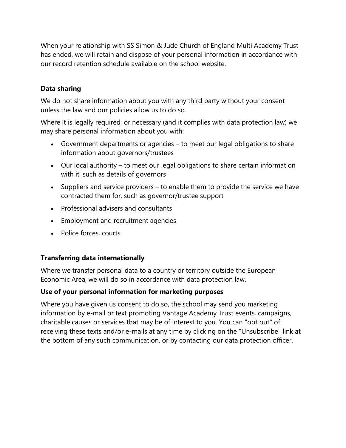When your relationship with SS Simon & Jude Church of England Multi Academy Trust has ended, we will retain and dispose of your personal information in accordance with our record retention schedule available on the school website.

## **Data sharing**

We do not share information about you with any third party without your consent unless the law and our policies allow us to do so.

Where it is legally required, or necessary (and it complies with data protection law) we may share personal information about you with:

- Government departments or agencies to meet our legal obligations to share information about governors/trustees
- Our local authority to meet our legal obligations to share certain information with it, such as details of governors
- Suppliers and service providers to enable them to provide the service we have contracted them for, such as governor/trustee support
- Professional advisers and consultants
- Employment and recruitment agencies
- Police forces, courts

#### **Transferring data internationally**

Where we transfer personal data to a country or territory outside the European Economic Area, we will do so in accordance with data protection law.

#### **Use of your personal information for marketing purposes**

Where you have given us consent to do so, the school may send you marketing information by e-mail or text promoting Vantage Academy Trust events, campaigns, charitable causes or services that may be of interest to you. You can "opt out" of receiving these texts and/or e-mails at any time by clicking on the "Unsubscribe" link at the bottom of any such communication, or by contacting our data protection officer.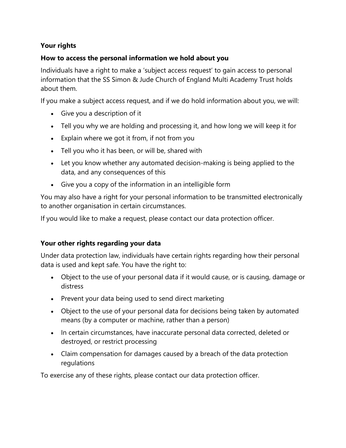# **Your rights**

#### **How to access the personal information we hold about you**

Individuals have a right to make a 'subject access request' to gain access to personal information that the SS Simon & Jude Church of England Multi Academy Trust holds about them.

If you make a subject access request, and if we do hold information about you, we will:

- Give you a description of it
- Tell you why we are holding and processing it, and how long we will keep it for
- Explain where we got it from, if not from you
- Tell you who it has been, or will be, shared with
- Let you know whether any automated decision-making is being applied to the data, and any consequences of this
- Give you a copy of the information in an intelligible form

You may also have a right for your personal information to be transmitted electronically to another organisation in certain circumstances.

If you would like to make a request, please contact our data protection officer.

#### **Your other rights regarding your data**

Under data protection law, individuals have certain rights regarding how their personal data is used and kept safe. You have the right to:

- Object to the use of your personal data if it would cause, or is causing, damage or distress
- Prevent your data being used to send direct marketing
- Object to the use of your personal data for decisions being taken by automated means (by a computer or machine, rather than a person)
- In certain circumstances, have inaccurate personal data corrected, deleted or destroyed, or restrict processing
- Claim compensation for damages caused by a breach of the data protection regulations

To exercise any of these rights, please contact our data protection officer.